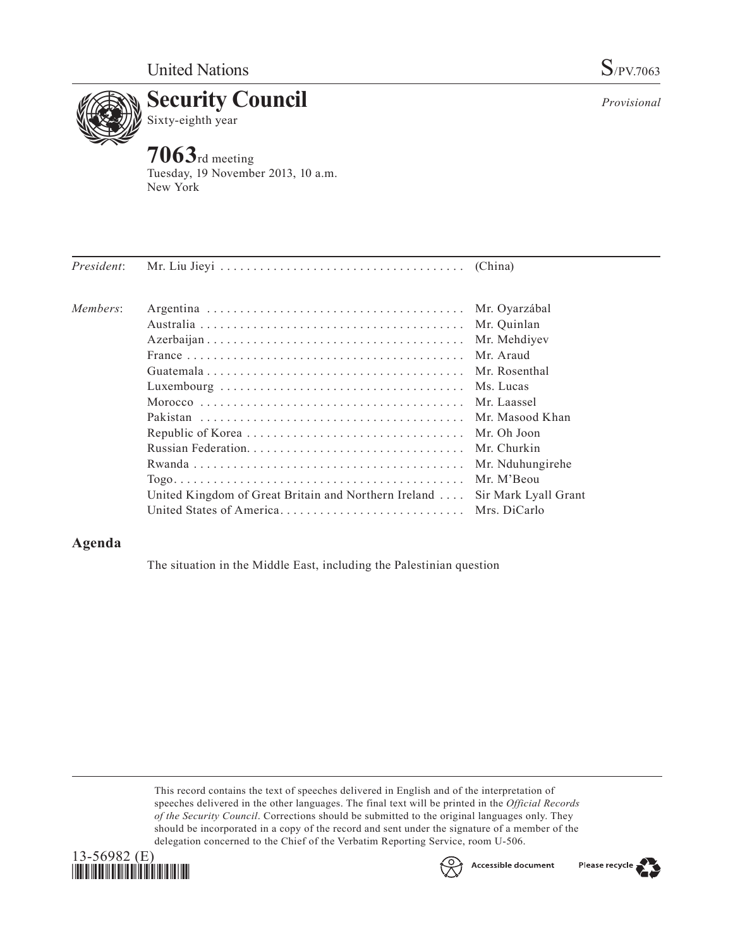

**7063**rd meeting Tuesday, 19 November 2013, 10 a.m. New York

| President: |                                                                            |                  |
|------------|----------------------------------------------------------------------------|------------------|
| Members:   |                                                                            | Mr. Ovarzábal    |
|            |                                                                            | Mr. Quinlan      |
|            |                                                                            | Mr. Mehdiyev     |
|            |                                                                            | Mr Araud         |
|            |                                                                            | Mr. Rosenthal    |
|            |                                                                            |                  |
|            |                                                                            |                  |
|            |                                                                            |                  |
|            |                                                                            | Mr. Oh Joon      |
|            |                                                                            | Mr. Churkin      |
|            |                                                                            | Mr. Nduhungirehe |
|            |                                                                            | Mr. M'Beou       |
|            | United Kingdom of Great Britain and Northern Ireland  Sir Mark Lyall Grant |                  |
|            |                                                                            |                  |
|            |                                                                            |                  |

## **Agenda**

The situation in the Middle East, including the Palestinian question

This record contains the text of speeches delivered in English and of the interpretation of speeches delivered in the other languages. The final text will be printed in the *Official Records of the Security Council*. Corrections should be submitted to the original languages only. They should be incorporated in a copy of the record and sent under the signature of a member of the delegation concerned to the Chief of the Verbatim Reporting Service, room U-506.





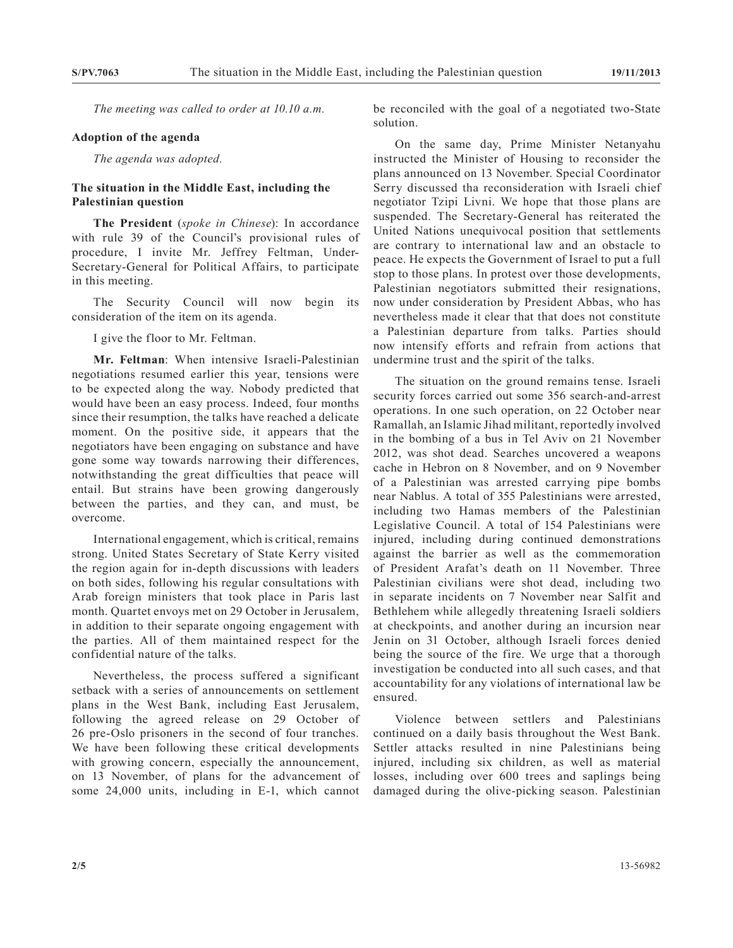*The meeting was called to order at 10.10 a.m.*

## **Adoption of the agenda**

*The agenda was adopted.*

## **The situation in the Middle East, including the Palestinian question**

**The President** (*spoke in Chinese*): In accordance with rule 39 of the Council's provisional rules of procedure, I invite Mr. Jeffrey Feltman, Under-Secretary-General for Political Affairs, to participate in this meeting.

The Security Council will now begin its consideration of the item on its agenda.

I give the floor to Mr. Feltman.

**Mr. Feltman**: When intensive Israeli-Palestinian negotiations resumed earlier this year, tensions were to be expected along the way. Nobody predicted that would have been an easy process. Indeed, four months since their resumption, the talks have reached a delicate moment. On the positive side, it appears that the negotiators have been engaging on substance and have gone some way towards narrowing their differences, notwithstanding the great difficulties that peace will entail. But strains have been growing dangerously between the parties, and they can, and must, be overcome.

International engagement, which is critical, remains strong. United States Secretary of State Kerry visited the region again for in-depth discussions with leaders on both sides, following his regular consultations with Arab foreign ministers that took place in Paris last month. Quartet envoys met on 29 October in Jerusalem, in addition to their separate ongoing engagement with the parties. All of them maintained respect for the confidential nature of the talks.

Nevertheless, the process suffered a significant setback with a series of announcements on settlement plans in the West Bank, including East Jerusalem, following the agreed release on 29 October of 26 pre-Oslo prisoners in the second of four tranches. We have been following these critical developments with growing concern, especially the announcement, on 13 November, of plans for the advancement of some 24,000 units, including in E-1, which cannot

be reconciled with the goal of a negotiated two-State solution.

On the same day, Prime Minister Netanyahu instructed the Minister of Housing to reconsider the plans announced on 13 November. Special Coordinator Serry discussed tha reconsideration with Israeli chief negotiator Tzipi Livni. We hope that those plans are suspended. The Secretary-General has reiterated the United Nations unequivocal position that settlements are contrary to international law and an obstacle to peace. He expects the Government of Israel to put a full stop to those plans. In protest over those developments, Palestinian negotiators submitted their resignations, now under consideration by President Abbas, who has nevertheless made it clear that that does not constitute a Palestinian departure from talks. Parties should now intensify efforts and refrain from actions that undermine trust and the spirit of the talks.

The situation on the ground remains tense. Israeli security forces carried out some 356 search-and-arrest operations. In one such operation, on 22 October near Ramallah, an Islamic Jihad militant, reportedly involved in the bombing of a bus in Tel Aviv on 21 November 2012, was shot dead. Searches uncovered a weapons cache in Hebron on 8 November, and on 9 November of a Palestinian was arrested carrying pipe bombs near Nablus. A total of 355 Palestinians were arrested, including two Hamas members of the Palestinian Legislative Council. A total of 154 Palestinians were injured, including during continued demonstrations against the barrier as well as the commemoration of President Arafat's death on 11 November. Three Palestinian civilians were shot dead, including two in separate incidents on 7 November near Salfit and Bethlehem while allegedly threatening Israeli soldiers at checkpoints, and another during an incursion near Jenin on 31 October, although Israeli forces denied being the source of the fire. We urge that a thorough investigation be conducted into all such cases, and that accountability for any violations of international law be ensured.

Violence between settlers and Palestinians continued on a daily basis throughout the West Bank. Settler attacks resulted in nine Palestinians being injured, including six children, as well as material losses, including over 600 trees and saplings being damaged during the olive-picking season. Palestinian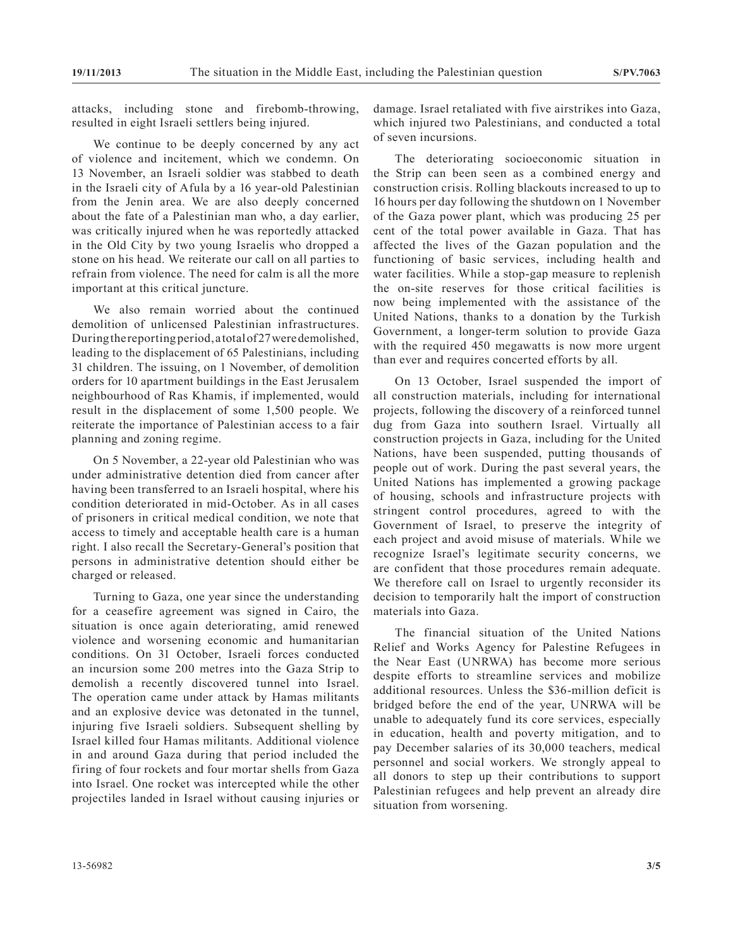attacks, including stone and firebomb-throwing, resulted in eight Israeli settlers being injured.

We continue to be deeply concerned by any act of violence and incitement, which we condemn. On 13 November, an Israeli soldier was stabbed to death in the Israeli city of Afula by a 16 year-old Palestinian from the Jenin area. We are also deeply concerned about the fate of a Palestinian man who, a day earlier, was critically injured when he was reportedly attacked in the Old City by two young Israelis who dropped a stone on his head. We reiterate our call on all parties to refrain from violence. The need for calm is all the more important at this critical juncture.

We also remain worried about the continued demolition of unlicensed Palestinian infrastructures. During the reporting period, a total of 27 were demolished, leading to the displacement of 65 Palestinians, including 31 children. The issuing, on 1 November, of demolition orders for 10 apartment buildings in the East Jerusalem neighbourhood of Ras Khamis, if implemented, would result in the displacement of some 1,500 people. We reiterate the importance of Palestinian access to a fair planning and zoning regime.

On 5 November, a 22-year old Palestinian who was under administrative detention died from cancer after having been transferred to an Israeli hospital, where his condition deteriorated in mid-October. As in all cases of prisoners in critical medical condition, we note that access to timely and acceptable health care is a human right. I also recall the Secretary-General's position that persons in administrative detention should either be charged or released.

Turning to Gaza, one year since the understanding for a ceasefire agreement was signed in Cairo, the situation is once again deteriorating, amid renewed violence and worsening economic and humanitarian conditions. On 31 October, Israeli forces conducted an incursion some 200 metres into the Gaza Strip to demolish a recently discovered tunnel into Israel. The operation came under attack by Hamas militants and an explosive device was detonated in the tunnel, injuring five Israeli soldiers. Subsequent shelling by Israel killed four Hamas militants. Additional violence in and around Gaza during that period included the firing of four rockets and four mortar shells from Gaza into Israel. One rocket was intercepted while the other projectiles landed in Israel without causing injuries or

damage. Israel retaliated with five airstrikes into Gaza, which injured two Palestinians, and conducted a total of seven incursions.

The deteriorating socioeconomic situation in the Strip can been seen as a combined energy and construction crisis. Rolling blackouts increased to up to 16 hours per day following the shutdown on 1 November of the Gaza power plant, which was producing 25 per cent of the total power available in Gaza. That has affected the lives of the Gazan population and the functioning of basic services, including health and water facilities. While a stop-gap measure to replenish the on-site reserves for those critical facilities is now being implemented with the assistance of the United Nations, thanks to a donation by the Turkish Government, a longer-term solution to provide Gaza with the required 450 megawatts is now more urgent than ever and requires concerted efforts by all.

On 13 October, Israel suspended the import of all construction materials, including for international projects, following the discovery of a reinforced tunnel dug from Gaza into southern Israel. Virtually all construction projects in Gaza, including for the United Nations, have been suspended, putting thousands of people out of work. During the past several years, the United Nations has implemented a growing package of housing, schools and infrastructure projects with stringent control procedures, agreed to with the Government of Israel, to preserve the integrity of each project and avoid misuse of materials. While we recognize Israel's legitimate security concerns, we are confident that those procedures remain adequate. We therefore call on Israel to urgently reconsider its decision to temporarily halt the import of construction materials into Gaza.

The financial situation of the United Nations Relief and Works Agency for Palestine Refugees in the Near East (UNRWA) has become more serious despite efforts to streamline services and mobilize additional resources. Unless the \$36-million deficit is bridged before the end of the year, UNRWA will be unable to adequately fund its core services, especially in education, health and poverty mitigation, and to pay December salaries of its 30,000 teachers, medical personnel and social workers. We strongly appeal to all donors to step up their contributions to support Palestinian refugees and help prevent an already dire situation from worsening.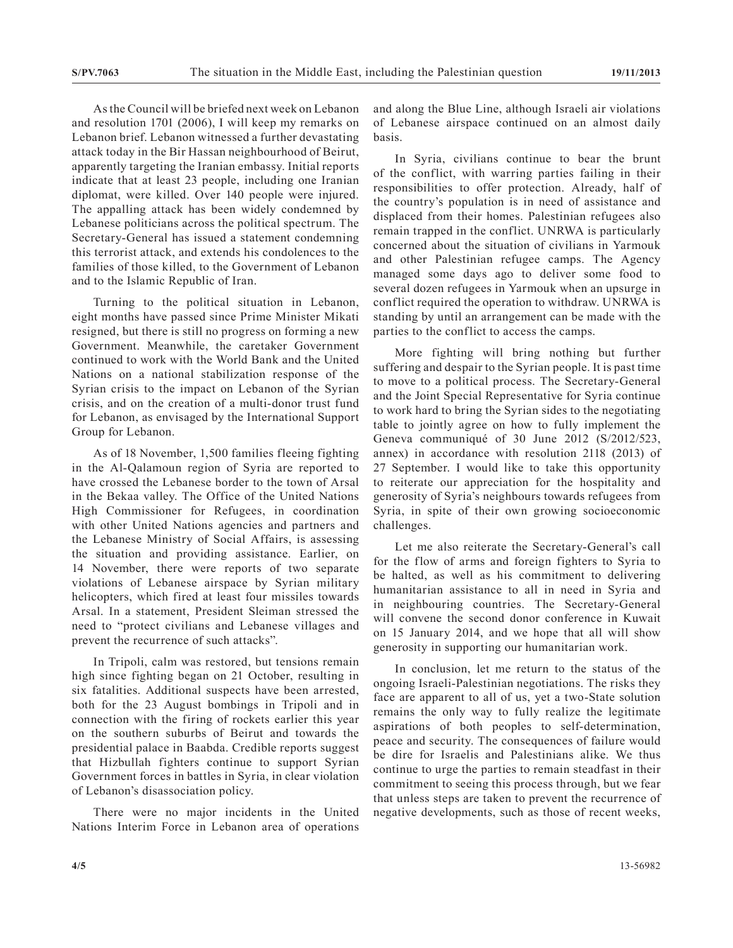As the Council will be briefed next week on Lebanon and resolution 1701 (2006), I will keep my remarks on Lebanon brief. Lebanon witnessed a further devastating attack today in the Bir Hassan neighbourhood of Beirut, apparently targeting the Iranian embassy. Initial reports indicate that at least 23 people, including one Iranian diplomat, were killed. Over 140 people were injured. The appalling attack has been widely condemned by Lebanese politicians across the political spectrum. The Secretary-General has issued a statement condemning this terrorist attack, and extends his condolences to the families of those killed, to the Government of Lebanon and to the Islamic Republic of Iran.

Turning to the political situation in Lebanon, eight months have passed since Prime Minister Mikati resigned, but there is still no progress on forming a new Government. Meanwhile, the caretaker Government continued to work with the World Bank and the United Nations on a national stabilization response of the Syrian crisis to the impact on Lebanon of the Syrian crisis, and on the creation of a multi-donor trust fund for Lebanon, as envisaged by the International Support Group for Lebanon.

As of 18 November, 1,500 families fleeing fighting in the Al-Qalamoun region of Syria are reported to have crossed the Lebanese border to the town of Arsal in the Bekaa valley. The Office of the United Nations High Commissioner for Refugees, in coordination with other United Nations agencies and partners and the Lebanese Ministry of Social Affairs, is assessing the situation and providing assistance. Earlier, on 14 November, there were reports of two separate violations of Lebanese airspace by Syrian military helicopters, which fired at least four missiles towards Arsal. In a statement, President Sleiman stressed the need to "protect civilians and Lebanese villages and prevent the recurrence of such attacks".

In Tripoli, calm was restored, but tensions remain high since fighting began on 21 October, resulting in six fatalities. Additional suspects have been arrested, both for the 23 August bombings in Tripoli and in connection with the firing of rockets earlier this year on the southern suburbs of Beirut and towards the presidential palace in Baabda. Credible reports suggest that Hizbullah fighters continue to support Syrian Government forces in battles in Syria, in clear violation of Lebanon's disassociation policy.

There were no major incidents in the United Nations Interim Force in Lebanon area of operations and along the Blue Line, although Israeli air violations of Lebanese airspace continued on an almost daily basis.

In Syria, civilians continue to bear the brunt of the conflict, with warring parties failing in their responsibilities to offer protection. Already, half of the country's population is in need of assistance and displaced from their homes. Palestinian refugees also remain trapped in the conflict. UNRWA is particularly concerned about the situation of civilians in Yarmouk and other Palestinian refugee camps. The Agency managed some days ago to deliver some food to several dozen refugees in Yarmouk when an upsurge in conflict required the operation to withdraw. UNRWA is standing by until an arrangement can be made with the parties to the conflict to access the camps.

More fighting will bring nothing but further suffering and despair to the Syrian people. It is past time to move to a political process. The Secretary-General and the Joint Special Representative for Syria continue to work hard to bring the Syrian sides to the negotiating table to jointly agree on how to fully implement the Geneva communiqué of 30 June 2012 (S/2012/523, annex) in accordance with resolution 2118 (2013) of 27 September. I would like to take this opportunity to reiterate our appreciation for the hospitality and generosity of Syria's neighbours towards refugees from Syria, in spite of their own growing socioeconomic challenges.

Let me also reiterate the Secretary-General's call for the flow of arms and foreign fighters to Syria to be halted, as well as his commitment to delivering humanitarian assistance to all in need in Syria and in neighbouring countries. The Secretary-General will convene the second donor conference in Kuwait on 15 January 2014, and we hope that all will show generosity in supporting our humanitarian work.

In conclusion, let me return to the status of the ongoing Israeli-Palestinian negotiations. The risks they face are apparent to all of us, yet a two-State solution remains the only way to fully realize the legitimate aspirations of both peoples to self-determination, peace and security. The consequences of failure would be dire for Israelis and Palestinians alike. We thus continue to urge the parties to remain steadfast in their commitment to seeing this process through, but we fear that unless steps are taken to prevent the recurrence of negative developments, such as those of recent weeks,